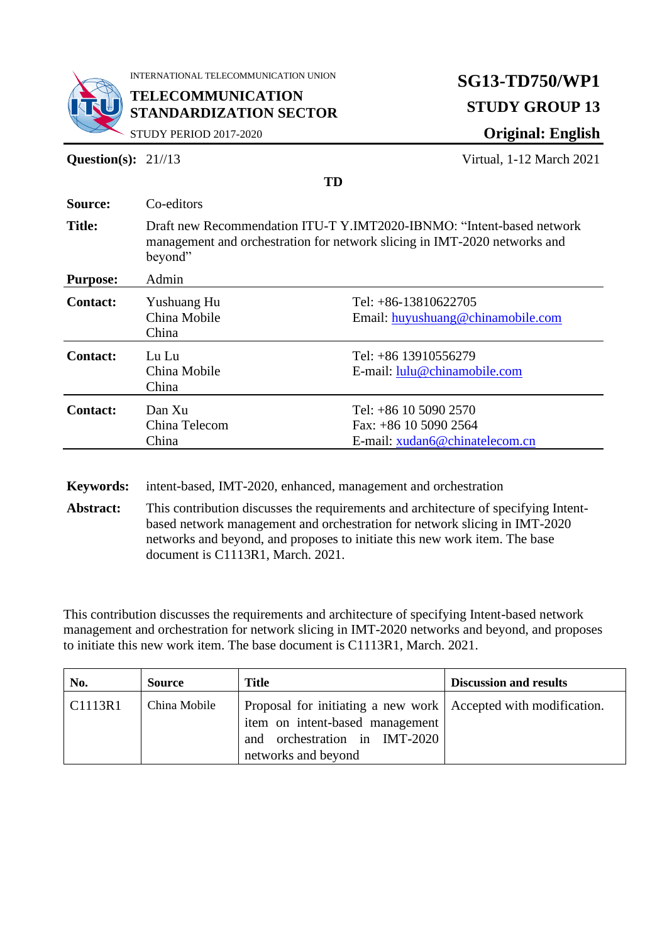

INTERNATIONAL TELECOMMUNICATION UNION

**TELECOMMUNICATION STANDARDIZATION SECTOR**

# **SG13-TD750/WP1 STUDY GROUP 13 Original: English**

STUDY PERIOD 2017-2020

**Question(s):** 21//13 Virtual, 1-12 March 2021

|                  |                                                                                                                                                                                                                                                 | ιv                                                                                   |  |
|------------------|-------------------------------------------------------------------------------------------------------------------------------------------------------------------------------------------------------------------------------------------------|--------------------------------------------------------------------------------------|--|
| Source:          | Co-editors                                                                                                                                                                                                                                      |                                                                                      |  |
| <b>Title:</b>    | Draft new Recommendation ITU-T Y.IMT2020-IBNMO: "Intent-based network<br>management and orchestration for network slicing in IMT-2020 networks and<br>beyond"                                                                                   |                                                                                      |  |
| <b>Purpose:</b>  | Admin                                                                                                                                                                                                                                           |                                                                                      |  |
| <b>Contact:</b>  | Yushuang Hu<br>China Mobile<br>China                                                                                                                                                                                                            | Tel: $+86-13810622705$<br>Email: huyushuang@chinamobile.com                          |  |
| <b>Contact:</b>  | Lu Lu<br>China Mobile<br>China                                                                                                                                                                                                                  | Tel: +86 13910556279<br>E-mail: lulu@chinamobile.com                                 |  |
| <b>Contact:</b>  | Dan Xu<br>China Telecom<br>China                                                                                                                                                                                                                | Tel: $+86$ 10 5090 2570<br>Fax: $+86$ 10 5090 2564<br>E-mail: xudan6@chinatelecom.cn |  |
| <b>Keywords:</b> |                                                                                                                                                                                                                                                 | intent-based, IMT-2020, enhanced, management and orchestration                       |  |
| Abstract:        | This contribution discusses the requirements and architecture of specifying Intent-<br>based network management and orchestration for network slicing in IMT-2020<br>networks and beyond, and proposes to initiate this new work item. The base |                                                                                      |  |

**TD** 

<span id="page-0-0"></span>This contribution discusses the requirements and architecture of specifying Intent-based network management and orchestration for network slicing in IMT-2020 networks and beyond, and proposes to initiate this new work item. The base document is C1113R1, March. 2021.

document is C1113R1, March. 2021.

| No.     | <b>Source</b> | <b>Title</b>                                                                                                                                                | <b>Discussion and results</b> |
|---------|---------------|-------------------------------------------------------------------------------------------------------------------------------------------------------------|-------------------------------|
| CI113R1 | China Mobile  | Proposal for initiating a new work   Accepted with modification.<br>item on intent-based management<br>and orchestration in IMT-2020<br>networks and beyond |                               |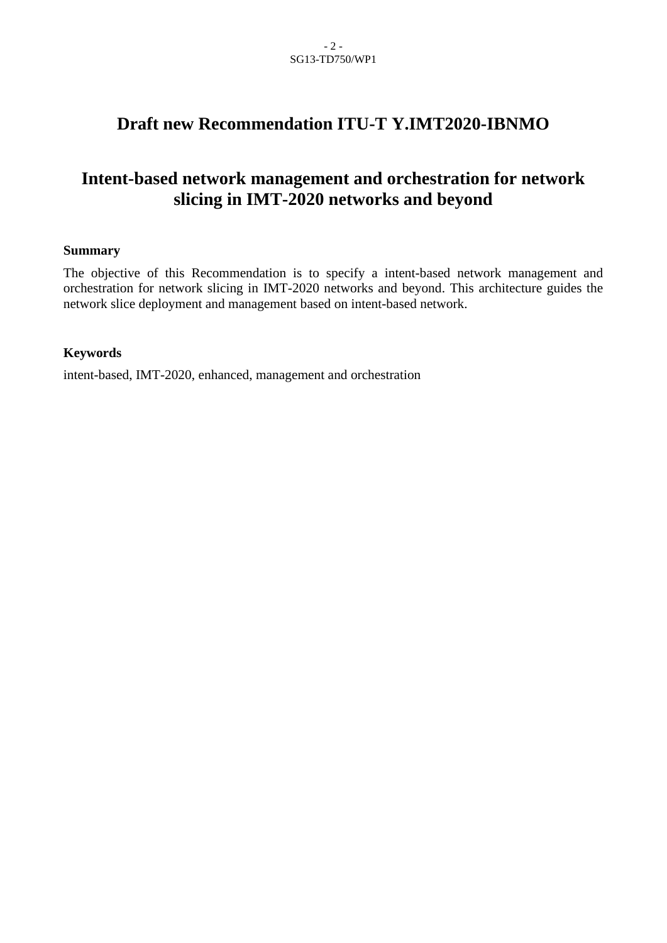## **Draft new Recommendation ITU-T Y.IMT2020-IBNMO**

## **Intent-based network management and orchestration for network slicing in IMT-2020 networks and beyond**

### **Summary**

The objective of this Recommendation is to specify a intent-based network management and orchestration for network slicing in IMT-2020 networks and beyond. This architecture guides the network slice deployment and management based on intent-based network.

### **Keywords**

intent-based, IMT-2020, enhanced, management and orchestration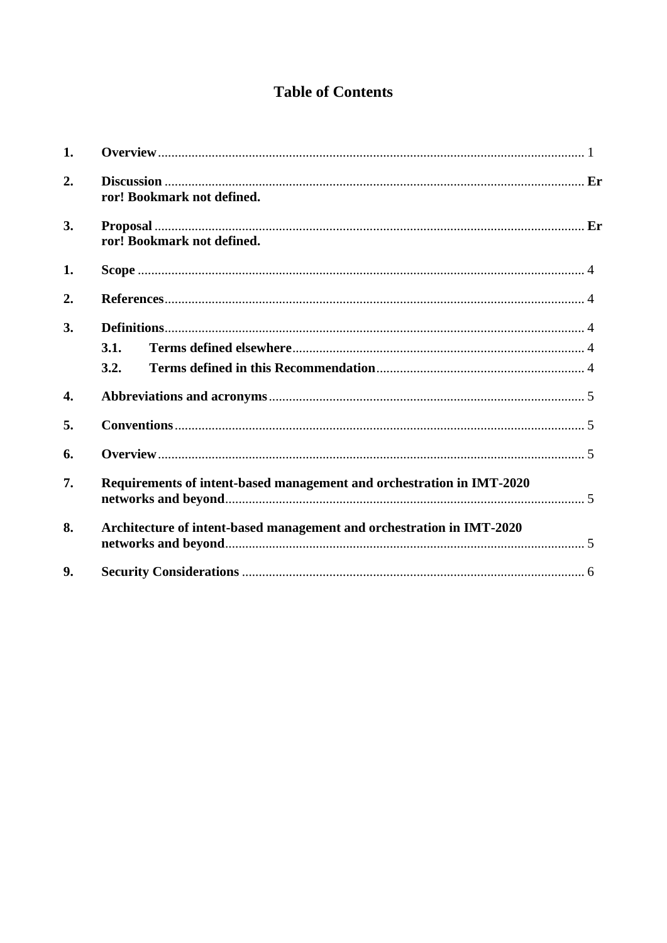## **Table of Contents**

| 1. |                                                                       |  |
|----|-----------------------------------------------------------------------|--|
| 2. | ror! Bookmark not defined.                                            |  |
| 3. | ror! Bookmark not defined.                                            |  |
| 1. |                                                                       |  |
| 2. |                                                                       |  |
| 3. | 3.1.<br>3.2.                                                          |  |
| 4. |                                                                       |  |
| 5. |                                                                       |  |
| 6. |                                                                       |  |
| 7. | Requirements of intent-based management and orchestration in IMT-2020 |  |
| 8. | Architecture of intent-based management and orchestration in IMT-2020 |  |
| 9. |                                                                       |  |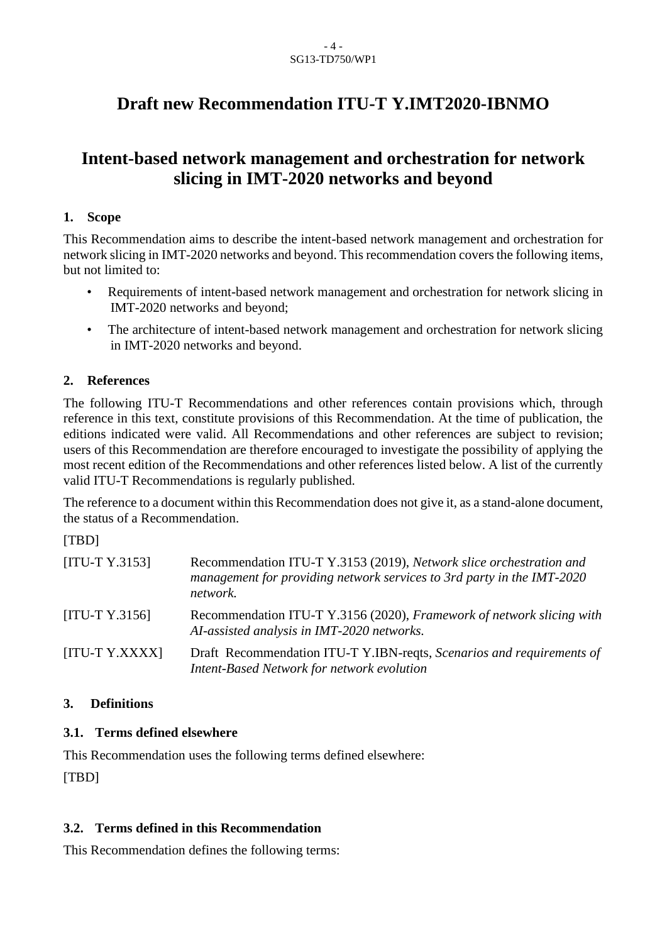## **Draft new Recommendation ITU-T Y.IMT2020-IBNMO**

## **Intent-based network management and orchestration for network slicing in IMT-2020 networks and beyond**

## <span id="page-3-0"></span>**1. Scope**

This Recommendation aims to describe the intent-based network management and orchestration for network slicing in IMT-2020 networks and beyond. This recommendation covers the following items, but not limited to:

- Requirements of intent-based network management and orchestration for network slicing in IMT-2020 networks and beyond;
- The architecture of intent-based network management and orchestration for network slicing in IMT-2020 networks and beyond.

## <span id="page-3-1"></span>**2. References**

The following ITU-T Recommendations and other references contain provisions which, through reference in this text, constitute provisions of this Recommendation. At the time of publication, the editions indicated were valid. All Recommendations and other references are subject to revision; users of this Recommendation are therefore encouraged to investigate the possibility of applying the most recent edition of the Recommendations and other references listed below. A list of the currently valid ITU-T Recommendations is regularly published.

The reference to a document within this Recommendation does not give it, as a stand-alone document, the status of a Recommendation.

[TBD]

| $[ITU-T Y.3153]$ | Recommendation ITU-T Y.3153 (2019), Network slice orchestration and<br>management for providing network services to 3rd party in the IMT-2020<br>network. |
|------------------|-----------------------------------------------------------------------------------------------------------------------------------------------------------|
| $[ITU-T Y.3156]$ | Recommendation ITU-T Y.3156 (2020), Framework of network slicing with<br>AI-assisted analysis in IMT-2020 networks.                                       |
| [ITU-T Y.XXXX]   | Draft Recommendation ITU-T Y.IBN-reqts, Scenarios and requirements of<br>Intent-Based Network for network evolution                                       |

## <span id="page-3-2"></span>**3. Definitions**

## <span id="page-3-3"></span>**3.1. Terms defined elsewhere**

This Recommendation uses the following terms defined elsewhere: [TBD]

### <span id="page-3-4"></span>**3.2. Terms defined in this Recommendation**

This Recommendation defines the following terms: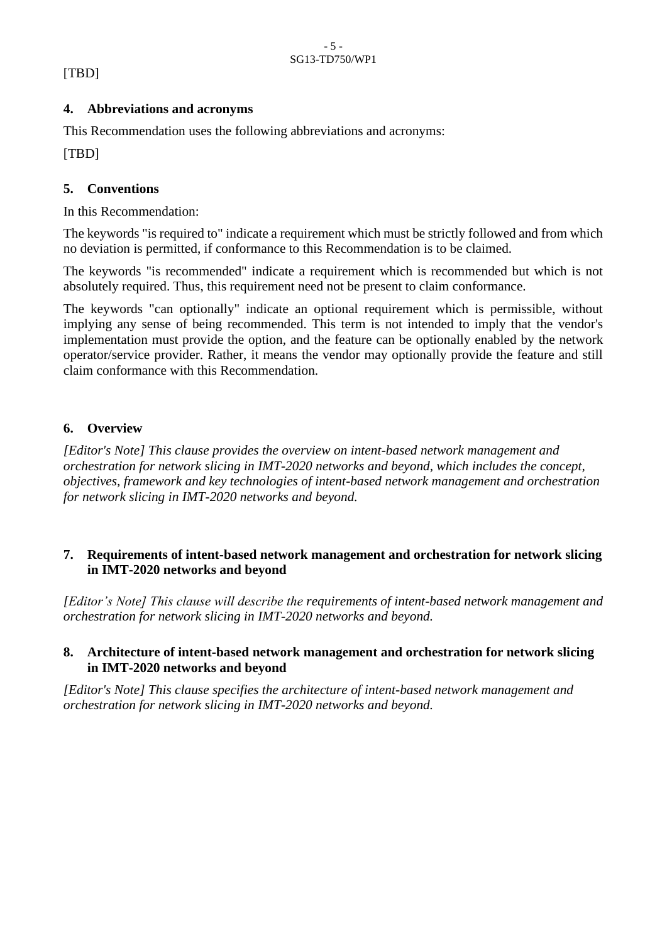### <span id="page-4-0"></span>[TBD]

### **4. Abbreviations and acronyms**

This Recommendation uses the following abbreviations and acronyms: [TBD]

### <span id="page-4-1"></span>**5. Conventions**

In this Recommendation:

The keywords "is required to" indicate a requirement which must be strictly followed and from which no deviation is permitted, if conformance to this Recommendation is to be claimed.

The keywords "is recommended" indicate a requirement which is recommended but which is not absolutely required. Thus, this requirement need not be present to claim conformance.

The keywords "can optionally" indicate an optional requirement which is permissible, without implying any sense of being recommended. This term is not intended to imply that the vendor's implementation must provide the option, and the feature can be optionally enabled by the network operator/service provider. Rather, it means the vendor may optionally provide the feature and still claim conformance with this Recommendation.

### <span id="page-4-2"></span>**6. Overview**

*[Editor's Note] This clause provides the overview on intent-based network management and orchestration for network slicing in IMT-2020 networks and beyond, which includes the concept, objectives, framework and key technologies of intent-based network management and orchestration for network slicing in IMT-2020 networks and beyond.*

### <span id="page-4-3"></span>**7. Requirements of intent-based network management and orchestration for network slicing in IMT-2020 networks and beyond**

*[Editor's Note] This clause will describe the requirements of intent-based network management and orchestration for network slicing in IMT-2020 networks and beyond.*

### <span id="page-4-4"></span>**8. Architecture of intent-based network management and orchestration for network slicing in IMT-2020 networks and beyond**

*[Editor's Note] This clause specifies the architecture of intent-based network management and orchestration for network slicing in IMT-2020 networks and beyond.*